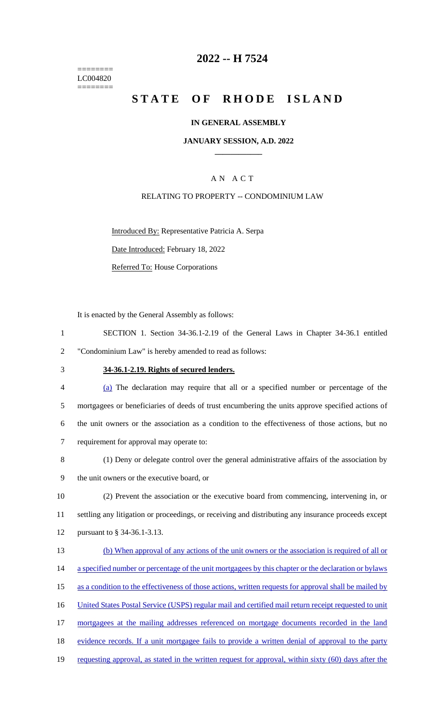======== LC004820  $=$ 

# **2022 -- H 7524**

# **STATE OF RHODE ISLAND**

# **IN GENERAL ASSEMBLY**

#### **JANUARY SESSION, A.D. 2022 \_\_\_\_\_\_\_\_\_\_\_\_**

# A N A C T

# RELATING TO PROPERTY -- CONDOMINIUM LAW

Introduced By: Representative Patricia A. Serpa

Date Introduced: February 18, 2022

Referred To: House Corporations

It is enacted by the General Assembly as follows:

|   |                                                         | SECTION 1. Section 34-36.1-2.19 of the General Laws in Chapter 34-36.1 entitled |  |  |  |  |
|---|---------------------------------------------------------|---------------------------------------------------------------------------------|--|--|--|--|
| 2 | "Condominium Law" is hereby amended to read as follows: |                                                                                 |  |  |  |  |

# 3 **34-36.1-2.19. Rights of secured lenders.**

| $\overline{4}$ | (a) The declaration may require that all or a specified number or percentage of the              |
|----------------|--------------------------------------------------------------------------------------------------|
| 5              | mortgagees or beneficiaries of deeds of trust encumbering the units approve specified actions of |
| 6              | the unit owners or the association as a condition to the effectiveness of those actions, but no  |
|                | requirement for approval may operate to:                                                         |

| -8 | (1) Deny or delegate control over the general administrative affairs of the association by |
|----|--------------------------------------------------------------------------------------------|
|    | the unit owners or the executive board, or                                                 |

10 (2) Prevent the association or the executive board from commencing, intervening in, or 11 settling any litigation or proceedings, or receiving and distributing any insurance proceeds except 12 pursuant to § 34-36.1-3.13.

| 13 | (b) When approval of any actions of the unit owners or the association is required of all or           |
|----|--------------------------------------------------------------------------------------------------------|
| 14 | a specified number or percentage of the unit mortgagees by this chapter or the declaration or bylaws   |
| 15 | as a condition to the effectiveness of those actions, written requests for approval shall be mailed by |
| 16 | United States Postal Service (USPS) regular mail and certified mail return receipt requested to unit   |
| 17 | mortgagees at the mailing addresses referenced on mortgage documents recorded in the land              |
| 18 | evidence records. If a unit mortgage fails to provide a written denial of approval to the party        |
| 19 | requesting approval, as stated in the written request for approval, within sixty (60) days after the   |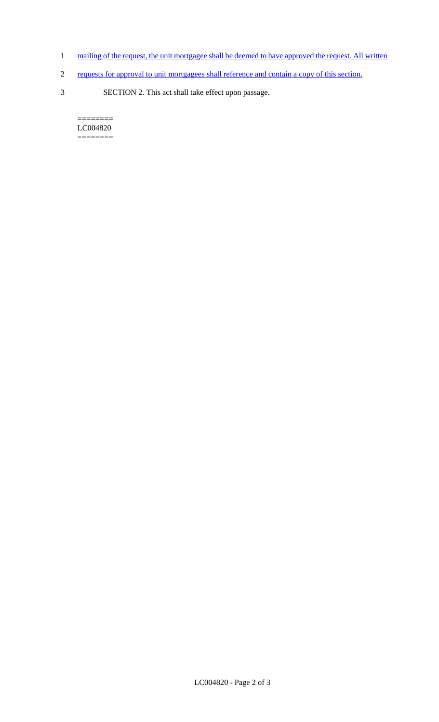- 1 mailing of the request, the unit mortgagee shall be deemed to have approved the request. All written
- 2 requests for approval to unit mortgagees shall reference and contain a copy of this section.
- 3 SECTION 2. This act shall take effect upon passage.

 $=$ LC004820 ========